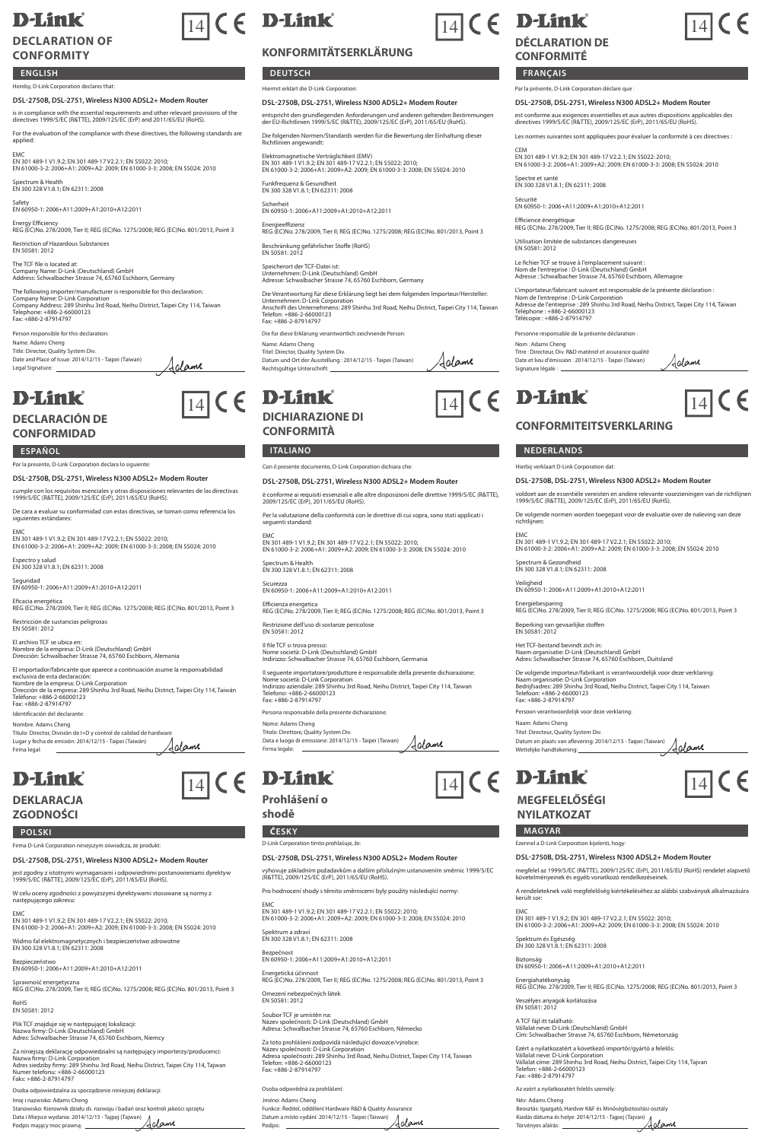# **D-Link**

## **DECLARATION OF CONFORMITY**

## **ENGLISH**

### -------<br>ereby, D-Link Corporation declares that: **DSL-2750B, DSL-2751, Wireless N300 ADSL2+ Modem Router**

is in compliance with the essential requirements and other relevant provisions of the directives 1999/5/EC (R&TTE), 2009/125/EC (ErP) and 2011/65/EU (RoHS).

For the evaluation of the compliance with these directives, the following standards are applied:

EMC EN 301 489-1 V1.9.2; EN 301 489-17 V2.2.1; EN 55022: 2010; EN 61000-3-2: 2006+A1: 2009+A2: 2009; EN 61000-3-3: 2008; EN 55024: 2010

Spectrum & Health EN 300 328 V1.8.1; EN 62311: 2008

Safety EN 60950-1: 2006+A11:2009+A1:2010+A12:2011

Energy Efficiency REG (EC)No. 278/2009, Tier II; REG (EC)No. 1275/2008; REG (EC)No. 801/2013, Point 3

Restriction of Hazardous Substances EN 50581: 2012

The TCF file is located at: Company Name: D-Link (Deutschland) GmbH Address: Schwalbacher Strasse 74, 65760 Eschborn, Germany

The following importer/manufacturer is responsible for this declaration:<br>Company Name: D-Link Corporation<br>Company Address: 289 Shinhu 3rd Road, Neihu District, Taipei City 114, Taiwan<br>Tele: +886-2-87914797<br>Fax: +886-2-8791

Jalame

Person responsible for this declaration: Name: Adams Cheng Title: Director, Quality System Div. Date and Place of Issue: 2014/12/15 - Taipei (Taiwan) Legal Signature:

# **D-Link**

## **DECLARACIÓN DE CONFORMIDAD**

### **ESPAÑOL ITALIANO NEDERLANDS**

Por la presente, D-Link Corporation declara lo siguiente:

**DSL-2750B, DSL-2751, Wireless N300 ADSL2+ Modem Router** cumple con los requisitos esenciales y otras disposiciones relevantes de las directivas 1999/5/EC (R&TTE), 2009/125/EC (ErP), 2011/65/EU (RoHS).

De cara a evaluar su conformidad con estas directivas, se toman como referencia los siguientes estándares:

EMC EN 301 489-1 V1.9.2; EN 301 489-17 V2.2.1; EN 55022: 2010; EN 61000-3-2: 2006+A1: 2009+A2: 2009; EN 61000-3-3: 2008; EN 55024: 2010

Espectro y salud EN 300 328 V1.8.1; EN 62311: 2008

Seguridad EN 60950-1: 2006+A11:2009+A1:2010+A12:2011

Eficacia energética REG (EC)No. 278/2009, Tier II; REG (EC)No. 1275/2008; REG (EC)No. 801/2013, Point 3

Restricción de sustancias peligrosas EN 50581: 2012

El archivo TCF se ubica en: Nombre de la empresa: D-Link (Deutschland) GmbH Dirección: Schwalbacher Strasse 74, 65760 Eschborn, Alemania El importador/fabricante que aparece a continuación asume la responsabilidad

exclusiva de esta declaración:<br>Nombre de la empresa: D-Link Corporation<br>Dirección de la empresa: 289 Shinhu 3rd Road, Neihu District, Taipei City 114, Taiwán<br>Fax: +886-2-87914797<br>Fax: +886-2-87914797

Identificación del declarante: Nombre: Adams Cheng

### Título: Director, División de I+D y control de calidad de hardware Lugar y fecha de emisión: 2014/12/15 - Taipei (Taiwán) Aglame rma legal

# **D-Link**

## **DEKLARACJA ZGODNOŚCI**

Firma D-Link Corporation niniejszym oświadcza, że produkt:

**DSL-2750B, DSL-2751, Wireless N300 ADSL2+ Modem Router** jest zgodny z istotnymi wymaganiami i odpowiednimi postanowieniami dyrektyw 1999/5/EC (R&TTE), 2009/125/EC (ErP), 2011/65/EU (RoHS).

W celu oceny zgodności z powyższymi dyrektywami stosowane są normy z następującego zakresu:

EMC EN 301 489-1 V1.9.2; EN 301 489-17 V2.2.1; EN 55022: 2010; EN 61000-3-2: 2006+A1: 2009+A2: 2009; EN 61000-3-3: 2008; EN 55024: 2010 Widmo fal elektromagnetycznych i bezpieczeństwo zdrowotne EN 300 328 V1.8.1; EN 62311: 2008

Bezpieczeństwo EN 60950-1: 2006+A11:2009+A1:2010+A12:2011

Sprawność energetyczna REG (EC)No. 278/2009, Tier II; REG (EC)No. 1275/2008; REG (EC)No. 801/2013, Point 3

RoHS EN 50581: 2012

Plik TCF znajduje się w następującej lokalizacji: Nazwa firmy: D-Link (Deutschland) GmbH Adres: Schwalbacher Strasse 74, 65760 Eschborn, Niemcy

Za niniejszą deklarację odpowiedzialni są następujący importerzy/producenci:<br>Nazwa firmy: D-Link Corporation<br>Ndres siedziby firmy: 289 Shinhu 3rd Road, Neihu District, Taipei City 114, Tajwan<br>Numer telefonu: +886-2-6600012

Osoba odpowiedzialna za sporządzenie niniejszej deklaracji: Imię i nazwisko: Adams Cheng Stanowisko: Kierownik działu ds. rozwoju i badań oraz kontroli jakości sprzętu Data i Miejsce wydania: 2014/12/15 - Tajpej (Tajwan) Podpis mający moc prawną:

# $\boxed{14}$  (  $\in$  D-Link

## **KONFORMITÄTSERKLÄRUNG**

**DEUTSCH FRANÇAIS** 

### Hiermit erklärt die D-Link Corporation: **DSL-2750B, DSL-2751, Wireless N300 ADSL2+ Modem Router**

entspricht den grundlegenden Anforderungen und anderen geltenden Bestimmungen der EU-Richtlinien 1999/5/EC (R&TTE), 2009/125/EC (ErP), 2011/65/EU (RoHS).

Die folgenden Normen/Standards werden für die Bewertung der Einhaltung dieser Richtlinien angewandt:

Elektromagnetische Verträglichkeit (EMV)<br>EN 301 489-1 V1.9.2; EN 301 489-17 V2.2.1; EN 55022: 2010;<br>EN 61000-3-2: 2006+A1: 2009+A2: 2009; EN 61000-3-3: 2008; EN 55024: 2010

Funkfrequenz & Gesundheit EN 300 328 V1.8.1; EN 62311: 2008

Sicherheit EN 60950-1: 2006+A11:2009+A1:2010+A12:2011

Energieeffizienz REG (EC)No. 278/2009, Tier II; REG (EC)No. 1275/2008; REG (EC)No. 801/2013, Point 3

Beschränkung gefährlicher Stoffe (RoHS) EN 50581: 2012

eicherort der TCF-Datei ist:<br>ternehmen: D-Link (Deutschland) GmbH

Unternehmen: D-Link (Deutschland) GmbH Adresse: Schwalbacher Strasse 74, 65760 Eschborn, Germany

Die Verantwortung für diese Erklärung liegt bei dem folgenden Importeur/Hersteller:<br>Unternehmen: D-Link Corporation<br>Anschrift des Unternehmens: 289 Shinhu 3rd Road, Neihu District, Taipei City 114, Taiwan<br>Telefon: +886-2-8

Die für diese Erklärung verantwortlich zeichnende Person:

Name: Adams Cheng Titel: Director, Quality System Div. Jolame Datum und Ort der Ausstellung : 2014/12/15 - Taipei (Taiwan) Rechtsgültige Unterschrift:

## $\frac{1}{14}$  (  $\in$  D-Link  $\frac{1}{14}$  (  $\in$  D-Link  $\frac{1}{14}$  (  $\in$ **DICHIARAZIONE DI CONFORMITÀ**

Con il presente documento, D-Link Corporation dichiara che:

### **DSL-2750B, DSL-2751, Wireless N300 ADSL2+ Modem Router**

è conforme ai requisiti essenziali e alle altre disposizioni delle direttive 1999/5/EC (R&TTE), 2009/125/EC (ErP), 2011/65/EU (RoHS).

Per la valutazione della conformità con le direttive di cui sopra, sono stati applicati i seguenti standard:

EMC EN 301 489-1 V1.9.2; EN 301 489-17 V2.2.1; EN 55022: 2010; EN 61000-3-2: 2006+A1: 2009+A2: 2009; EN 61000-3-3: 2008; EN 55024: 2010

Spectrum & Health EN 300 328 V1.8.1; EN 62311: 2008

Sicurezza EN 60950-1: 2006+A11:2009+A1:2010+A12:2011

Efficienza energetica REG (EC)No. 278/2009, Tier II; REG (EC)No. 1275/2008; REG (EC)No. 801/2013, Point 3

.<br>Restrius di sostanze pericolose EN 50581: 2012

Il file TCF si trova presso: Nome società: D-Link (Deutschland) GmbH Indirizzo: Schwalbacher Strasse 74, 65760 Eschborn, Germania

Il seguente importatore/produttore è responsabile della presente dichiarazione: Nome società: D-Link Corporation Indirizzo aziendale: 289 Shinhu 3rd Road, Neihu District, Taipei City 114, Taiwan Telefono: +886-2-66000123 Fax: +886-2-87914797

Persona responsabile della presente dichiarazione: Nome: Adams Cheng Titolo: Direttore, Quality System Div.

Data e luogo di emissione: 2014/12/15 - Taipei (Taiwan) Firma legale: Adame

# $\boxed{14}$  (  $\in$  **D-Link**  $\boxed{14}$  (  $\in$  **D-Link**  $\boxed{14}$

**Prohlášení o** 

**shodě**

### **POLSKI ČESKY MAGYAR** D-Link Corporation tímto prohlašuje, že:

**DSL-2750B, DSL-2751, Wireless N300 ADSL2+ Modem Router**

vyhovuje základním požadavkům a dalším příslušným ustanovením směrnic 1999/5/EC (R&TTE), 2009/125/EC (ErP), 2011/65/EU (RoHS).

Pro hodnocení shody s těmito směrnicemi byly použity následující normy:

EMC EN 301 489-1 V1.9.2; EN 301 489-17 V2.2.1; EN 55022: 2010; EN 61000-3-2: 2006+A1: 2009+A2: 2009; EN 61000-3-3: 2008; EN 55024: 2010

Spektrum a zdraví EN 300 328 V1.8.1; EN 62311: 2008

Bezpečnost EN 60950-1: 2006+A11:2009+A1:2010+A12:2011

Energetická účinnost REG (EC)No. 278/2009, Tier II; REG (EC)No. 1275/2008; REG (EC)No. 801/2013, Point 3

Omezení nebezpečných látek EN 50581: 2012

Soubor TCF je umístěn na: Název společnosti: D-Link (Deutschland) GmbH Adresa: Schwalbacher Strasse 74, 65760 Eschborn, Německo

Za toto prohlášení zodpovídá následující dovozce/výrobce:<br>Název společnosti: D-Link Corporation<br>Adresa společnosti: 289 Shinhu 3rd Road, Neihu District, Taipei City 114, Taiwan<br>Telefon: +886-2-67014797<br>Fax: +886-2-87914797

Osoba odpovědná za prohlášení: Jméno: Adams Cheng Funkce: Ředitel, oddělení Hardware R&D & Quality Assurance Datum a místo vydání: 2014/12/15 - Taipei (Taiwan) <u>Adame</u> Podpis:



# **D-Link**

# **DÉCLARATION DE**

## **CONFORMITÉ**

### Par la présente, D-Link Corporation déclare que :

Spectre et santé EN 300 328 V1.8.1; EN 62311: 2008 Sécurité EN 60950-1: 2006+A11:2009+A1:2010+A12:2011

Personne responsable de la présente déclaration

Titre : Directeur, Div. R&D matériel et assurance qualité Date et lieu d'émission : 2014/12/15 - Taipei (Taïwan) Signature légale :

Nom : Adams Cheng

Hierbij verklaart D-Link Corporation dat:

Spectrum & Gezondheid EN 300 328 V1.8.1; EN 62311: 2008 Veiligheid EN 60950-1: 2006+A11:2009+A1:2010+A12:2011

Beperking van gevaarlijke stoffen EN 50581: 2012

**MEGFELELŐSÉGI NYILATKOZAT**

Naam: Adams Cheng Titel: Directeur, Quality System Div.

Ezennel a D-Link Corporation kijelenti, hogy:

Spektrum és Egészség EN 300 328 V1.8.1; EN 62311: 2008 Biztonság EN 60950-1: 2006+A11:2009+A1:2010+A12:2011

Veszélyes anyagok korlátozása EN 50581: 2012 A TCF fájl itt található:

került sor:

Az ezért a nyilatkozatért felelős személy:

Név: Adams Cheng

.<br>Persoon deze verk

Datum en plaats van aflevering: 2014/12/15 - Taipei (Taiwan) Wettelijke handtekening:

Het TCF-bestand bevindt zich in: Naam organisatie: D-Link (Deutschland) GmbH Adres: Schwalbacher Strasse 74, 65760 Eschborn, Duitsland

De volgende importeur/fabrikant is verantwoordelijk voor deze verklaring<br>Naam organisatie: D-Link Corporation<br>Bedrijfsadres: 289 Shinhu 3rd Road, Neihu District, Taipei City 114, Taiwan<br>Telefoon: +886-2-676000123<br>Fax: +886

**DSL-2750B, DSL-2751, Wireless N300 ADSL2+ Modem Router** megfelel az 1999/5/EC (R&TTE), 2009/125/EC (ErP), 2011/65/EU (RoHS) rendelet alapvető követelményeinek és egyéb vonatkozó rendelkezéseinek. A rendeleteknek való megfelelőség kiértékeléséhez az alábbi szabványok alkalmazására

EMC EN 301 489-1 V1.9.2; EN 301 489-17 V2.2.1; EN 55022: 2010; EN 61000-3-2: 2006+A1: 2009+A2: 2009; EN 61000-3-3: 2008; EN 55024: 2010

Energiahatékonyság REG (EC)No. 278/2009, Tier II; REG (EC)No. 1275/2008; REG (EC)No. 801/2013, Point 3

Vállalat neve: D-Link (Deutschland) GmbH Cím: Schwalbacher Strasse 74, 65760 Eschborn, Németország

Beosztás: Igazgató, Hardver K&F és Minőségbiztosítási osztály Kiadás dátuma és helye: 2014/12/15 - Tajpej (Tajvan) Törvényes aláírás:

Ezért a nyilatkozatért a következő importőr/gyártó a felelős:<br>Vállalat neve: D-Link Corporation<br>Vállalat címe: 289 Shinhu 3rd Road, Neihu District, Taipei City 114, Tajvan<br>Telefon: +886-2-67914797<br>Fax: +886-2-87914797

Utilisation limitée de substances dangereuses EN 50581: 2012 Le fichier TCF se trouve à l'emplacement suivant : Nom de l'entreprise : D-Link (Deutschland) GmbH Adresse : Schwalbacher Strasse 74, 65760 Eschborn, Allemagne

**DSL-2750B, DSL-2751, Wireless N300 ADSL2+ Modem Router**

est conforme aux exigences essentielles et aux autres dispositions applicables des directives 1999/5/EC (R&TTE), 2009/125/EC (ErP), 2011/65/EU (RoHS).

Les normes suivantes sont appliquées pour évaluer la conformité à ces directives :

14

 $\epsilon$ 

CEM EN 301 489-1 V1.9.2; EN 301 489-17 V2.2.1; EN 55022: 2010; EN 61000-3-2: 2006+A1: 2009+A2: 2009; EN 61000-3-3: 2008; EN 55024: 2010

Efficience énergétique REG (EC)No. 278/2009, Tier II; REG (EC)No. 1275/2008; REG (EC)No. 801/2013, Point 3

L'importateur/fabricant suivant est responsable de la présente déclaration :<br>Nom de l'entreprise : D-Link Corporation<br>Adresse de l'entreprise : 289 Shinhu 3rd Road, Neihu District, Taipei City 114, Taïwar<br>Téléchone : +886-

Aalame

<u>Adame</u>

**DSL-2750B, DSL-2751, Wireless N300 ADSL2+ Modem Router** voldoet aan de essentiële vereisten en andere relevante voorzieningen van de richtlijnen 1999/5/EC (R&TTE), 2009/125/EC (ErP), 2011/65/EU (RoHS). De volgende normen worden toegepast voor de evaluatie over de naleving van deze richtlijnen: EMC EN 301 489-1 V1.9.2; EN 301 489-17 V2.2.1; EN 55022: 2010; EN 61000-3-2: 2006+A1: 2009+A2: 2009; EN 61000-3-3: 2008; EN 55024: 2010

**CONFORMITEITSVERKLARING**

Energiebesparing REG (EC)No. 278/2009, Tier II; REG (EC)No. 1275/2008; REG (EC)No. 801/2013, Point 3